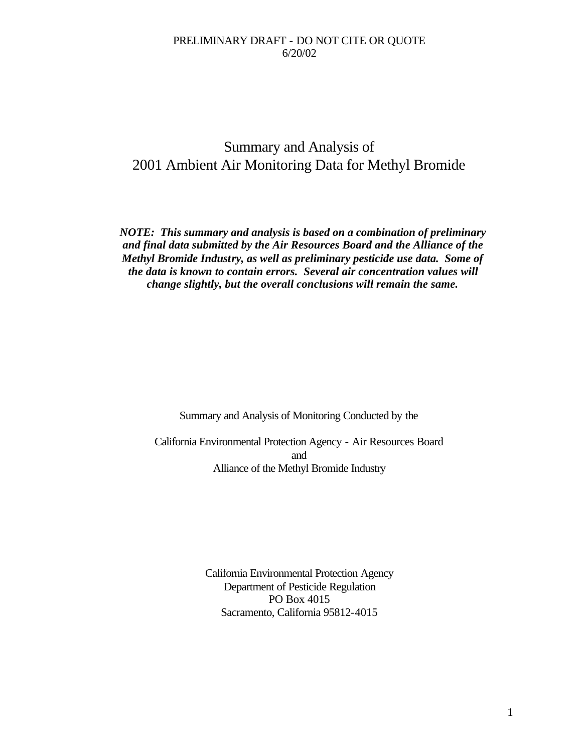# Summary and Analysis of 2001 Ambient Air Monitoring Data for Methyl Bromide

*NOTE: This summary and analysis is based on a combination of preliminary and final data submitted by the Air Resources Board and the Alliance of the Methyl Bromide Industry, as well as preliminary pesticide use data. Some of the data is known to contain errors. Several air concentration values will change slightly, but the overall conclusions will remain the same.*

Summary and Analysis of Monitoring Conducted by the

California Environmental Protection Agency - Air Resources Board and Alliance of the Methyl Bromide Industry

> California Environmental Protection Agency Department of Pesticide Regulation PO Box 4015 Sacramento, California 95812-4015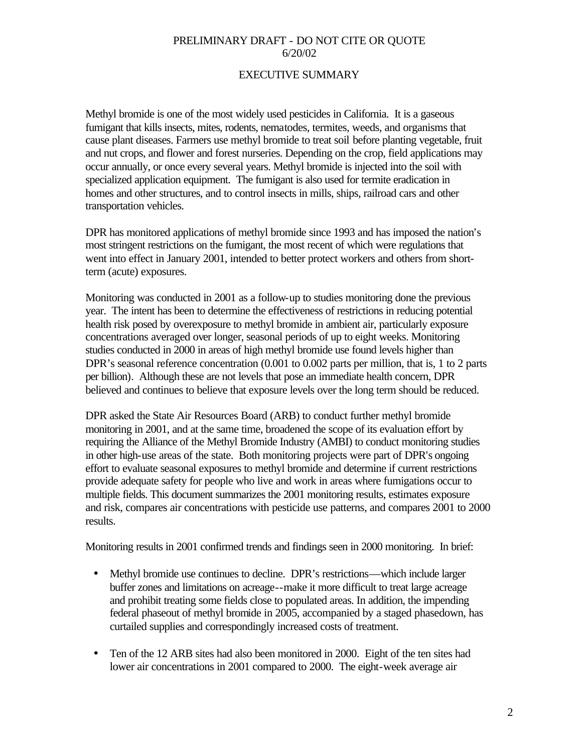## EXECUTIVE SUMMARY

Methyl bromide is one of the most widely used pesticides in California. It is a gaseous fumigant that kills insects, mites, rodents, nematodes, termites, weeds, and organisms that cause plant diseases. Farmers use methyl bromide to treat soil before planting vegetable, fruit and nut crops, and flower and forest nurseries. Depending on the crop, field applications may occur annually, or once every several years. Methyl bromide is injected into the soil with specialized application equipment. The fumigant is also used for termite eradication in homes and other structures, and to control insects in mills, ships, railroad cars and other transportation vehicles.

DPR has monitored applications of methyl bromide since 1993 and has imposed the nation's most stringent restrictions on the fumigant, the most recent of which were regulations that went into effect in January 2001, intended to better protect workers and others from shortterm (acute) exposures.

Monitoring was conducted in 2001 as a follow-up to studies monitoring done the previous year. The intent has been to determine the effectiveness of restrictions in reducing potential health risk posed by overexposure to methyl bromide in ambient air, particularly exposure concentrations averaged over longer, seasonal periods of up to eight weeks. Monitoring studies conducted in 2000 in areas of high methyl bromide use found levels higher than DPR's seasonal reference concentration (0.001 to 0.002 parts per million, that is, 1 to 2 parts per billion). Although these are not levels that pose an immediate health concern, DPR believed and continues to believe that exposure levels over the long term should be reduced.

DPR asked the State Air Resources Board (ARB) to conduct further methyl bromide monitoring in 2001, and at the same time, broadened the scope of its evaluation effort by requiring the Alliance of the Methyl Bromide Industry (AMBI) to conduct monitoring studies in other high-use areas of the state. Both monitoring projects were part of DPR's ongoing effort to evaluate seasonal exposures to methyl bromide and determine if current restrictions provide adequate safety for people who live and work in areas where fumigations occur to multiple fields. This document summarizes the 2001 monitoring results, estimates exposure and risk, compares air concentrations with pesticide use patterns, and compares 2001 to 2000 results.

Monitoring results in 2001 confirmed trends and findings seen in 2000 monitoring. In brief:

- Methyl bromide use continues to decline. DPR's restrictions—which include larger buffer zones and limitations on acreage--make it more difficult to treat large acreage and prohibit treating some fields close to populated areas. In addition, the impending federal phaseout of methyl bromide in 2005, accompanied by a staged phasedown, has curtailed supplies and correspondingly increased costs of treatment.
- Ten of the 12 ARB sites had also been monitored in 2000. Eight of the ten sites had lower air concentrations in 2001 compared to 2000. The eight-week average air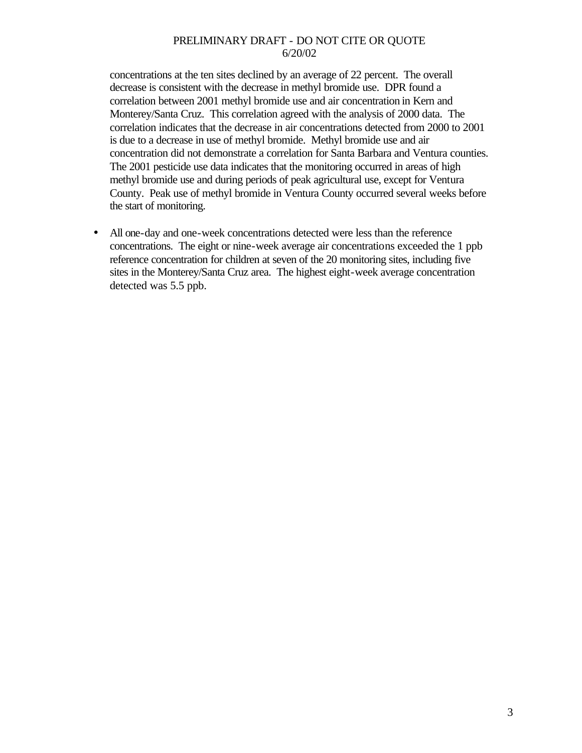concentrations at the ten sites declined by an average of 22 percent. The overall decrease is consistent with the decrease in methyl bromide use. DPR found a correlation between 2001 methyl bromide use and air concentration in Kern and Monterey/Santa Cruz. This correlation agreed with the analysis of 2000 data. The correlation indicates that the decrease in air concentrations detected from 2000 to 2001 is due to a decrease in use of methyl bromide. Methyl bromide use and air concentration did not demonstrate a correlation for Santa Barbara and Ventura counties. The 2001 pesticide use data indicates that the monitoring occurred in areas of high methyl bromide use and during periods of peak agricultural use, except for Ventura County. Peak use of methyl bromide in Ventura County occurred several weeks before the start of monitoring.

• All one-day and one-week concentrations detected were less than the reference concentrations. The eight or nine-week average air concentrations exceeded the 1 ppb reference concentration for children at seven of the 20 monitoring sites, including five sites in the Monterey/Santa Cruz area. The highest eight-week average concentration detected was 5.5 ppb.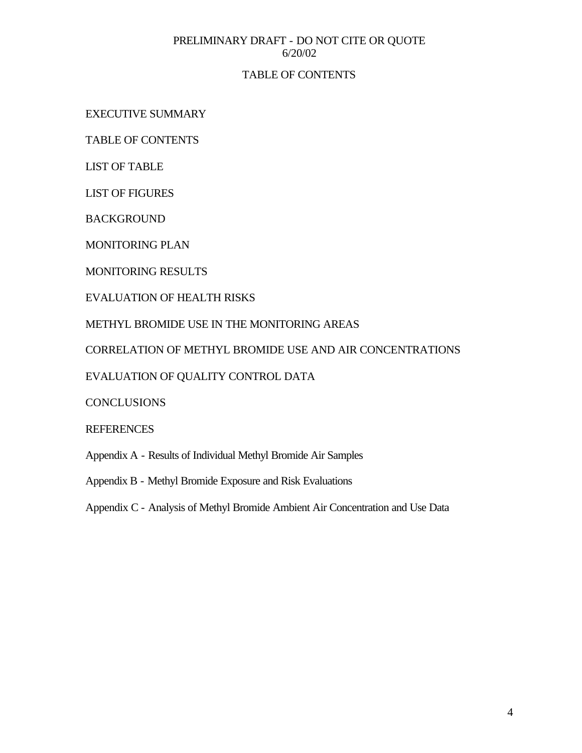## TABLE OF CONTENTS

EXECUTIVE SUMMARY

TABLE OF CONTENTS

LIST OF TABLE

LIST OF FIGURES

BACKGROUND

MONITORING PLAN

MONITORING RESULTS

EVALUATION OF HEALTH RISKS

METHYL BROMIDE USE IN THE MONITORING AREAS

CORRELATION OF METHYL BROMIDE USE AND AIR CONCENTRATIONS

EVALUATION OF QUALITY CONTROL DATA

**CONCLUSIONS** 

## **REFERENCES**

Appendix A - Results of Individual Methyl Bromide Air Samples

Appendix B - Methyl Bromide Exposure and Risk Evaluations

Appendix C - Analysis of Methyl Bromide Ambient Air Concentration and Use Data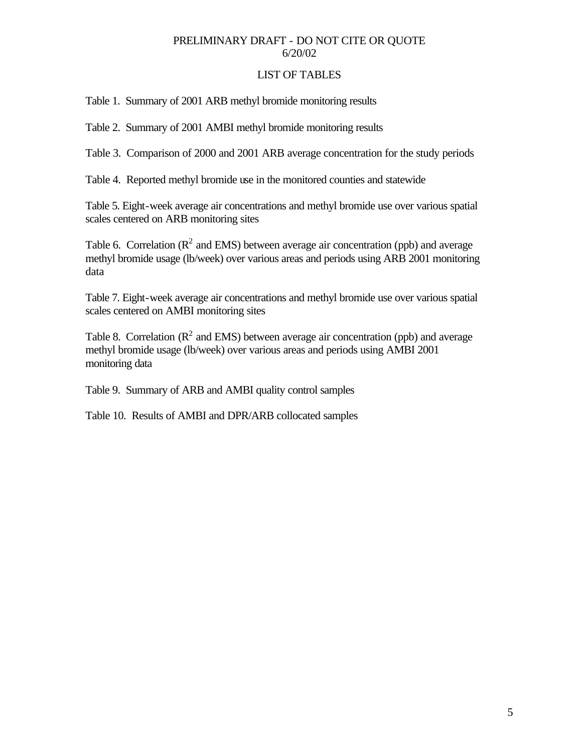### LIST OF TABLES

Table 1. Summary of 2001 ARB methyl bromide monitoring results

Table 2. Summary of 2001 AMBI methyl bromide monitoring results

Table 3. Comparison of 2000 and 2001 ARB average concentration for the study periods

Table 4. Reported methyl bromide use in the monitored counties and statewide

Table 5. Eight-week average air concentrations and methyl bromide use over various spatial scales centered on ARB monitoring sites

Table 6. Correlation ( $\mathbb{R}^2$  and EMS) between average air concentration (ppb) and average methyl bromide usage (lb/week) over various areas and periods using ARB 2001 monitoring data

Table 7. Eight-week average air concentrations and methyl bromide use over various spatial scales centered on AMBI monitoring sites

Table 8. Correlation ( $\mathbb{R}^2$  and EMS) between average air concentration (ppb) and average methyl bromide usage (lb/week) over various areas and periods using AMBI 2001 monitoring data

Table 9. Summary of ARB and AMBI quality control samples

Table 10. Results of AMBI and DPR/ARB collocated samples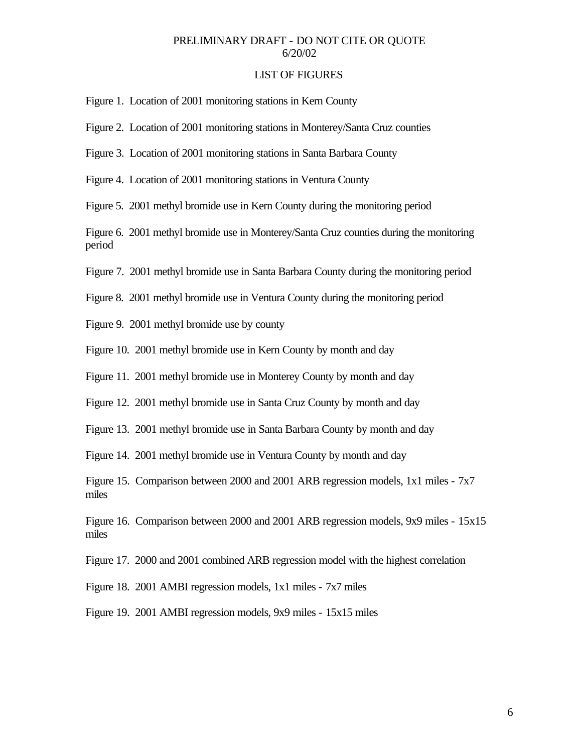#### LIST OF FIGURES

Figure 1. Location of 2001 monitoring stations in Kern County

Figure 2. Location of 2001 monitoring stations in Monterey/Santa Cruz counties

- Figure 3. Location of 2001 monitoring stations in Santa Barbara County
- Figure 4. Location of 2001 monitoring stations in Ventura County

Figure 5. 2001 methyl bromide use in Kern County during the monitoring period

Figure 6. 2001 methyl bromide use in Monterey/Santa Cruz counties during the monitoring period

Figure 7. 2001 methyl bromide use in Santa Barbara County during the monitoring period

Figure 8. 2001 methyl bromide use in Ventura County during the monitoring period

Figure 9. 2001 methyl bromide use by county

Figure 10. 2001 methyl bromide use in Kern County by month and day

Figure 11. 2001 methyl bromide use in Monterey County by month and day

Figure 12. 2001 methyl bromide use in Santa Cruz County by month and day

Figure 13. 2001 methyl bromide use in Santa Barbara County by month and day

Figure 14. 2001 methyl bromide use in Ventura County by month and day

Figure 15. Comparison between 2000 and 2001 ARB regression models, 1x1 miles - 7x7 miles

Figure 16. Comparison between 2000 and 2001 ARB regression models, 9x9 miles - 15x15 miles

Figure 17. 2000 and 2001 combined ARB regression model with the highest correlation

Figure 18. 2001 AMBI regression models, 1x1 miles - 7x7 miles

Figure 19. 2001 AMBI regression models, 9x9 miles - 15x15 miles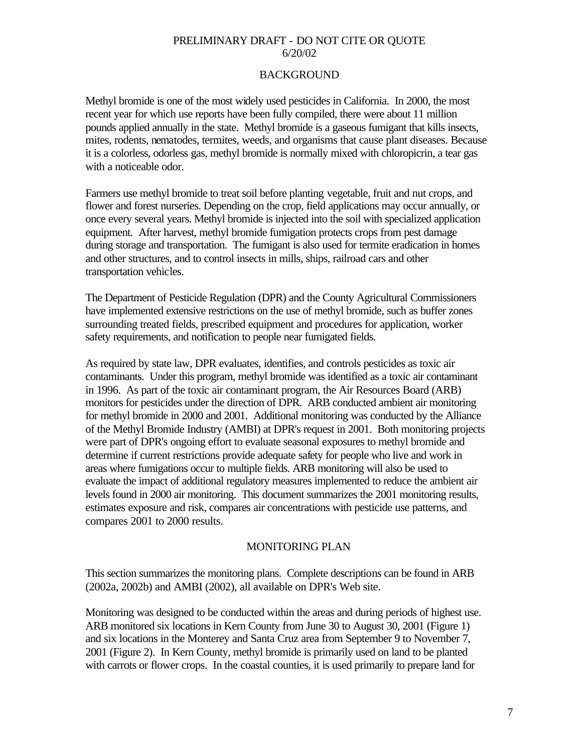## BACKGROUND

Methyl bromide is one of the most widely used pesticides in California. In 2000, the most recent year for which use reports have been fully compiled, there were about 11 million pounds applied annually in the state. Methyl bromide is a gaseous fumigant that kills insects, mites, rodents, nematodes, termites, weeds, and organisms that cause plant diseases. Because it is a colorless, odorless gas, methyl bromide is normally mixed with chloropicrin, a tear gas with a noticeable odor.

Farmers use methyl bromide to treat soil before planting vegetable, fruit and nut crops, and flower and forest nurseries. Depending on the crop, field applications may occur annually, or once every several years. Methyl bromide is injected into the soil with specialized application equipment. After harvest, methyl bromide fumigation protects crops from pest damage during storage and transportation. The fumigant is also used for termite eradication in homes and other structures, and to control insects in mills, ships, railroad cars and other transportation vehicles.

The Department of Pesticide Regulation (DPR) and the County Agricultural Commissioners have implemented extensive restrictions on the use of methyl bromide, such as buffer zones surrounding treated fields, prescribed equipment and procedures for application, worker safety requirements, and notification to people near fumigated fields.

As required by state law, DPR evaluates, identifies, and controls pesticides as toxic air contaminants. Under this program, methyl bromide was identified as a toxic air contaminant in 1996. As part of the toxic air contaminant program, the Air Resources Board (ARB) monitors for pesticides under the direction of DPR. ARB conducted ambient air monitoring for methyl bromide in 2000 and 2001. Additional monitoring was conducted by the Alliance of the Methyl Bromide Industry (AMBI) at DPR's request in 2001. Both monitoring projects were part of DPR's ongoing effort to evaluate seasonal exposures to methyl bromide and determine if current restrictions provide adequate safety for people who live and work in areas where fumigations occur to multiple fields. ARB monitoring will also be used to evaluate the impact of additional regulatory measures implemented to reduce the ambient air levels found in 2000 air monitoring. This document summarizes the 2001 monitoring results, estimates exposure and risk, compares air concentrations with pesticide use patterns, and compares 2001 to 2000 results.

#### MONITORING PLAN

This section summarizes the monitoring plans. Complete descriptions can be found in ARB (2002a, 2002b) and AMBI (2002), all available on DPR's Web site.

Monitoring was designed to be conducted within the areas and during periods of highest use. ARB monitored six locations in Kern County from June 30 to August 30, 2001 (Figure 1) and six locations in the Monterey and Santa Cruz area from September 9 to November 7, 2001 (Figure 2). In Kern County, methyl bromide is primarily used on land to be planted with carrots or flower crops. In the coastal counties, it is used primarily to prepare land for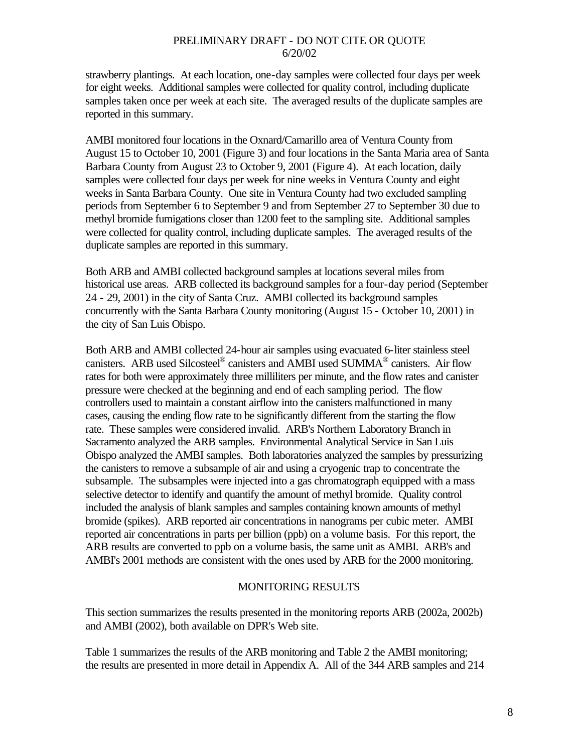strawberry plantings. At each location, one-day samples were collected four days per week for eight weeks. Additional samples were collected for quality control, including duplicate samples taken once per week at each site. The averaged results of the duplicate samples are reported in this summary.

AMBI monitored four locations in the Oxnard/Camarillo area of Ventura County from August 15 to October 10, 2001 (Figure 3) and four locations in the Santa Maria area of Santa Barbara County from August 23 to October 9, 2001 (Figure 4). At each location, daily samples were collected four days per week for nine weeks in Ventura County and eight weeks in Santa Barbara County. One site in Ventura County had two excluded sampling periods from September 6 to September 9 and from September 27 to September 30 due to methyl bromide fumigations closer than 1200 feet to the sampling site. Additional samples were collected for quality control, including duplicate samples. The averaged results of the duplicate samples are reported in this summary.

Both ARB and AMBI collected background samples at locations several miles from historical use areas. ARB collected its background samples for a four-day period (September 24 - 29, 2001) in the city of Santa Cruz. AMBI collected its background samples concurrently with the Santa Barbara County monitoring (August 15 - October 10, 2001) in the city of San Luis Obispo.

Both ARB and AMBI collected 24-hour air samples using evacuated 6-liter stainless steel canisters. ARB used Silcosteel® canisters and AMBI used SUMMA® canisters. Air flow rates for both were approximately three milliliters per minute, and the flow rates and canister pressure were checked at the beginning and end of each sampling period. The flow controllers used to maintain a constant airflow into the canisters malfunctioned in many cases, causing the ending flow rate to be significantly different from the starting the flow rate. These samples were considered invalid. ARB's Northern Laboratory Branch in Sacramento analyzed the ARB samples. Environmental Analytical Service in San Luis Obispo analyzed the AMBI samples. Both laboratories analyzed the samples by pressurizing the canisters to remove a subsample of air and using a cryogenic trap to concentrate the subsample. The subsamples were injected into a gas chromatograph equipped with a mass selective detector to identify and quantify the amount of methyl bromide. Quality control included the analysis of blank samples and samples containing known amounts of methyl bromide (spikes). ARB reported air concentrations in nanograms per cubic meter. AMBI reported air concentrations in parts per billion (ppb) on a volume basis. For this report, the ARB results are converted to ppb on a volume basis, the same unit as AMBI. ARB's and AMBI's 2001 methods are consistent with the ones used by ARB for the 2000 monitoring.

#### MONITORING RESULTS

This section summarizes the results presented in the monitoring reports ARB (2002a, 2002b) and AMBI (2002), both available on DPR's Web site.

Table 1 summarizes the results of the ARB monitoring and Table 2 the AMBI monitoring; the results are presented in more detail in Appendix A. All of the 344 ARB samples and 214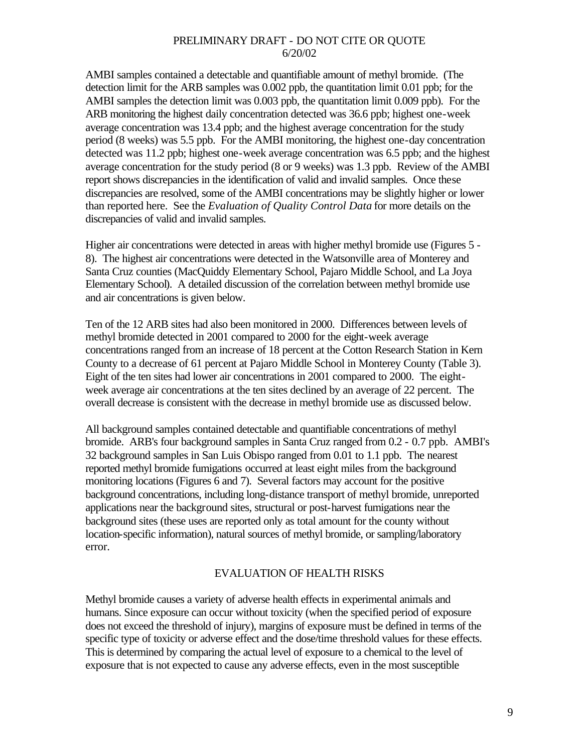AMBI samples contained a detectable and quantifiable amount of methyl bromide. (The detection limit for the ARB samples was 0.002 ppb, the quantitation limit 0.01 ppb; for the AMBI samples the detection limit was 0.003 ppb, the quantitation limit 0.009 ppb). For the ARB monitoring the highest daily concentration detected was 36.6 ppb; highest one-week average concentration was 13.4 ppb; and the highest average concentration for the study period (8 weeks) was 5.5 ppb. For the AMBI monitoring, the highest one-day concentration detected was 11.2 ppb; highest one-week average concentration was 6.5 ppb; and the highest average concentration for the study period (8 or 9 weeks) was 1.3 ppb. Review of the AMBI report shows discrepancies in the identification of valid and invalid samples. Once these discrepancies are resolved, some of the AMBI concentrations may be slightly higher or lower than reported here. See the *Evaluation of Quality Control Data* for more details on the discrepancies of valid and invalid samples.

Higher air concentrations were detected in areas with higher methyl bromide use (Figures 5 - 8). The highest air concentrations were detected in the Watsonville area of Monterey and Santa Cruz counties (MacQuiddy Elementary School, Pajaro Middle School, and La Joya Elementary School). A detailed discussion of the correlation between methyl bromide use and air concentrations is given below.

Ten of the 12 ARB sites had also been monitored in 2000. Differences between levels of methyl bromide detected in 2001 compared to 2000 for the eight-week average concentrations ranged from an increase of 18 percent at the Cotton Research Station in Kern County to a decrease of 61 percent at Pajaro Middle School in Monterey County (Table 3). Eight of the ten sites had lower air concentrations in 2001 compared to 2000. The eightweek average air concentrations at the ten sites declined by an average of 22 percent. The overall decrease is consistent with the decrease in methyl bromide use as discussed below.

All background samples contained detectable and quantifiable concentrations of methyl bromide. ARB's four background samples in Santa Cruz ranged from 0.2 - 0.7 ppb. AMBI's 32 background samples in San Luis Obispo ranged from 0.01 to 1.1 ppb. The nearest reported methyl bromide fumigations occurred at least eight miles from the background monitoring locations (Figures 6 and 7). Several factors may account for the positive background concentrations, including long-distance transport of methyl bromide, unreported applications near the background sites, structural or post-harvest fumigations near the background sites (these uses are reported only as total amount for the county without location-specific information), natural sources of methyl bromide, or sampling/laboratory error.

## EVALUATION OF HEALTH RISKS

Methyl bromide causes a variety of adverse health effects in experimental animals and humans. Since exposure can occur without toxicity (when the specified period of exposure does not exceed the threshold of injury), margins of exposure must be defined in terms of the specific type of toxicity or adverse effect and the dose/time threshold values for these effects. This is determined by comparing the actual level of exposure to a chemical to the level of exposure that is not expected to cause any adverse effects, even in the most susceptible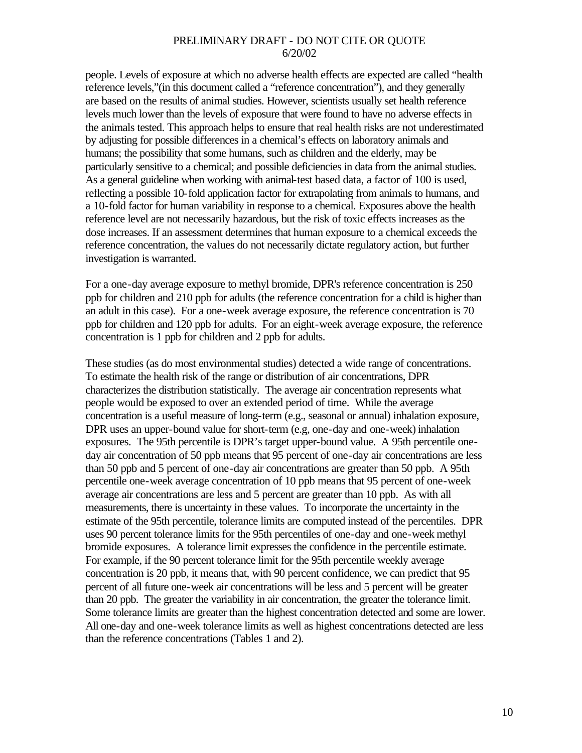people. Levels of exposure at which no adverse health effects are expected are called "health reference levels,"(in this document called a "reference concentration"), and they generally are based on the results of animal studies. However, scientists usually set health reference levels much lower than the levels of exposure that were found to have no adverse effects in the animals tested. This approach helps to ensure that real health risks are not underestimated by adjusting for possible differences in a chemical's effects on laboratory animals and humans; the possibility that some humans, such as children and the elderly, may be particularly sensitive to a chemical; and possible deficiencies in data from the animal studies. As a general guideline when working with animal-test based data, a factor of 100 is used, reflecting a possible 10-fold application factor for extrapolating from animals to humans, and a 10-fold factor for human variability in response to a chemical. Exposures above the health reference level are not necessarily hazardous, but the risk of toxic effects increases as the dose increases. If an assessment determines that human exposure to a chemical exceeds the reference concentration, the values do not necessarily dictate regulatory action, but further investigation is warranted.

For a one-day average exposure to methyl bromide, DPR's reference concentration is 250 ppb for children and 210 ppb for adults (the reference concentration for a child is higher than an adult in this case). For a one-week average exposure, the reference concentration is 70 ppb for children and 120 ppb for adults. For an eight-week average exposure, the reference concentration is 1 ppb for children and 2 ppb for adults.

These studies (as do most environmental studies) detected a wide range of concentrations. To estimate the health risk of the range or distribution of air concentrations, DPR characterizes the distribution statistically. The average air concentration represents what people would be exposed to over an extended period of time. While the average concentration is a useful measure of long-term (e.g., seasonal or annual) inhalation exposure, DPR uses an upper-bound value for short-term (e.g, one-day and one-week) inhalation exposures. The 95th percentile is DPR's target upper-bound value. A 95th percentile oneday air concentration of 50 ppb means that 95 percent of one-day air concentrations are less than 50 ppb and 5 percent of one-day air concentrations are greater than 50 ppb. A 95th percentile one-week average concentration of 10 ppb means that 95 percent of one-week average air concentrations are less and 5 percent are greater than 10 ppb. As with all measurements, there is uncertainty in these values. To incorporate the uncertainty in the estimate of the 95th percentile, tolerance limits are computed instead of the percentiles. DPR uses 90 percent tolerance limits for the 95th percentiles of one-day and one-week methyl bromide exposures. A tolerance limit expresses the confidence in the percentile estimate. For example, if the 90 percent tolerance limit for the 95th percentile weekly average concentration is 20 ppb, it means that, with 90 percent confidence, we can predict that 95 percent of all future one-week air concentrations will be less and 5 percent will be greater than 20 ppb. The greater the variability in air concentration, the greater the tolerance limit. Some tolerance limits are greater than the highest concentration detected and some are lower. All one-day and one-week tolerance limits as well as highest concentrations detected are less than the reference concentrations (Tables 1 and 2).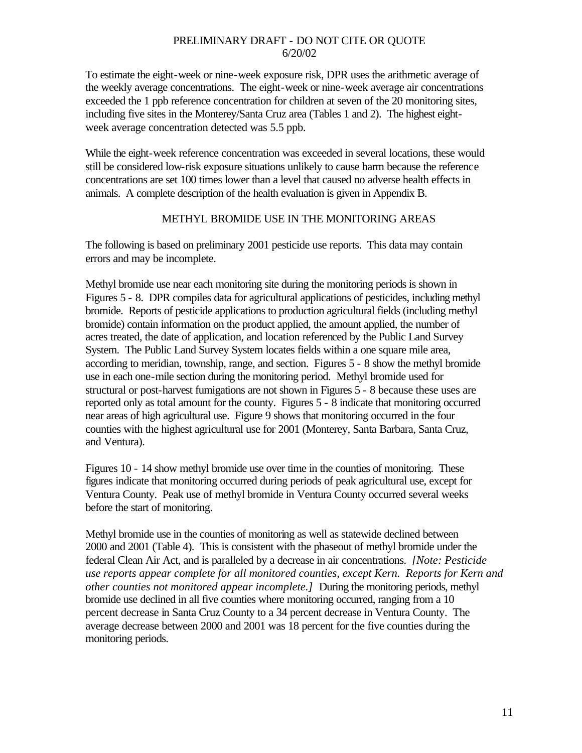To estimate the eight-week or nine-week exposure risk, DPR uses the arithmetic average of the weekly average concentrations. The eight-week or nine-week average air concentrations exceeded the 1 ppb reference concentration for children at seven of the 20 monitoring sites, including five sites in the Monterey/Santa Cruz area (Tables 1 and 2). The highest eightweek average concentration detected was 5.5 ppb.

While the eight-week reference concentration was exceeded in several locations, these would still be considered low-risk exposure situations unlikely to cause harm because the reference concentrations are set 100 times lower than a level that caused no adverse health effects in animals. A complete description of the health evaluation is given in Appendix B.

#### METHYL BROMIDE USE IN THE MONITORING AREAS

The following is based on preliminary 2001 pesticide use reports. This data may contain errors and may be incomplete.

Methyl bromide use near each monitoring site during the monitoring periods is shown in Figures 5 - 8. DPR compiles data for agricultural applications of pesticides, including methyl bromide. Reports of pesticide applications to production agricultural fields (including methyl bromide) contain information on the product applied, the amount applied, the number of acres treated, the date of application, and location referenced by the Public Land Survey System. The Public Land Survey System locates fields within a one square mile area, according to meridian, township, range, and section. Figures 5 - 8 show the methyl bromide use in each one-mile section during the monitoring period. Methyl bromide used for structural or post-harvest fumigations are not shown in Figures 5 - 8 because these uses are reported only as total amount for the county. Figures 5 - 8 indicate that monitoring occurred near areas of high agricultural use. Figure 9 shows that monitoring occurred in the four counties with the highest agricultural use for 2001 (Monterey, Santa Barbara, Santa Cruz, and Ventura).

Figures 10 - 14 show methyl bromide use over time in the counties of monitoring. These figures indicate that monitoring occurred during periods of peak agricultural use, except for Ventura County. Peak use of methyl bromide in Ventura County occurred several weeks before the start of monitoring.

Methyl bromide use in the counties of monitoring as well as statewide declined between 2000 and 2001 (Table 4). This is consistent with the phaseout of methyl bromide under the federal Clean Air Act, and is paralleled by a decrease in air concentrations. *[Note: Pesticide use reports appear complete for all monitored counties, except Kern. Reports for Kern and other counties not monitored appear incomplete.]* During the monitoring periods, methyl bromide use declined in all five counties where monitoring occurred, ranging from a 10 percent decrease in Santa Cruz County to a 34 percent decrease in Ventura County. The average decrease between 2000 and 2001 was 18 percent for the five counties during the monitoring periods.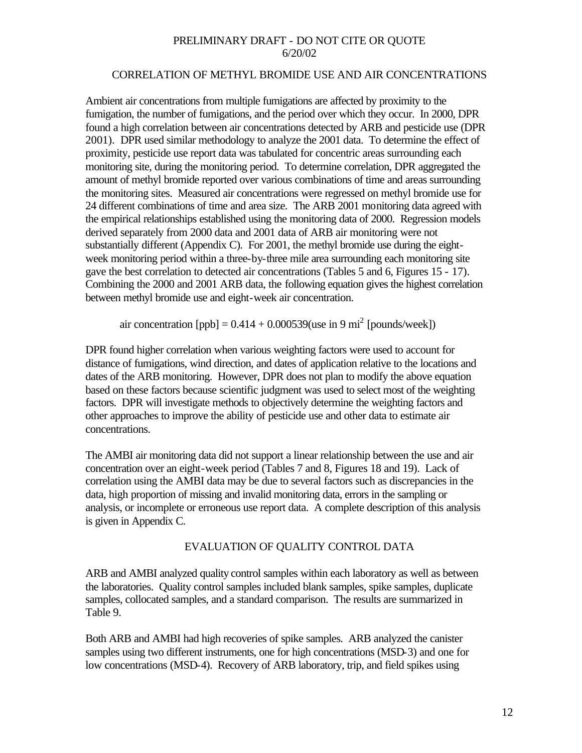#### CORRELATION OF METHYL BROMIDE USE AND AIR CONCENTRATIONS

Ambient air concentrations from multiple fumigations are affected by proximity to the fumigation, the number of fumigations, and the period over which they occur. In 2000, DPR found a high correlation between air concentrations detected by ARB and pesticide use (DPR 2001). DPR used similar methodology to analyze the 2001 data. To determine the effect of proximity, pesticide use report data was tabulated for concentric areas surrounding each monitoring site, during the monitoring period. To determine correlation, DPR aggregated the amount of methyl bromide reported over various combinations of time and areas surrounding the monitoring sites. Measured air concentrations were regressed on methyl bromide use for 24 different combinations of time and area size. The ARB 2001 monitoring data agreed with the empirical relationships established using the monitoring data of 2000. Regression models derived separately from 2000 data and 2001 data of ARB air monitoring were not substantially different (Appendix C). For 2001, the methyl bromide use during the eightweek monitoring period within a three-by-three mile area surrounding each monitoring site gave the best correlation to detected air concentrations (Tables 5 and 6, Figures 15 - 17). Combining the 2000 and 2001 ARB data, the following equation gives the highest correlation between methyl bromide use and eight-week air concentration.

air concentration [ppb] =  $0.414 + 0.000539$  (use in 9 mi<sup>2</sup> [pounds/week])

DPR found higher correlation when various weighting factors were used to account for distance of fumigations, wind direction, and dates of application relative to the locations and dates of the ARB monitoring. However, DPR does not plan to modify the above equation based on these factors because scientific judgment was used to select most of the weighting factors. DPR will investigate methods to objectively determine the weighting factors and other approaches to improve the ability of pesticide use and other data to estimate air concentrations.

The AMBI air monitoring data did not support a linear relationship between the use and air concentration over an eight-week period (Tables 7 and 8, Figures 18 and 19). Lack of correlation using the AMBI data may be due to several factors such as discrepancies in the data, high proportion of missing and invalid monitoring data, errors in the sampling or analysis, or incomplete or erroneous use report data. A complete description of this analysis is given in Appendix C.

## EVALUATION OF QUALITY CONTROL DATA

ARB and AMBI analyzed quality control samples within each laboratory as well as between the laboratories. Quality control samples included blank samples, spike samples, duplicate samples, collocated samples, and a standard comparison. The results are summarized in Table 9.

Both ARB and AMBI had high recoveries of spike samples. ARB analyzed the canister samples using two different instruments, one for high concentrations (MSD-3) and one for low concentrations (MSD-4). Recovery of ARB laboratory, trip, and field spikes using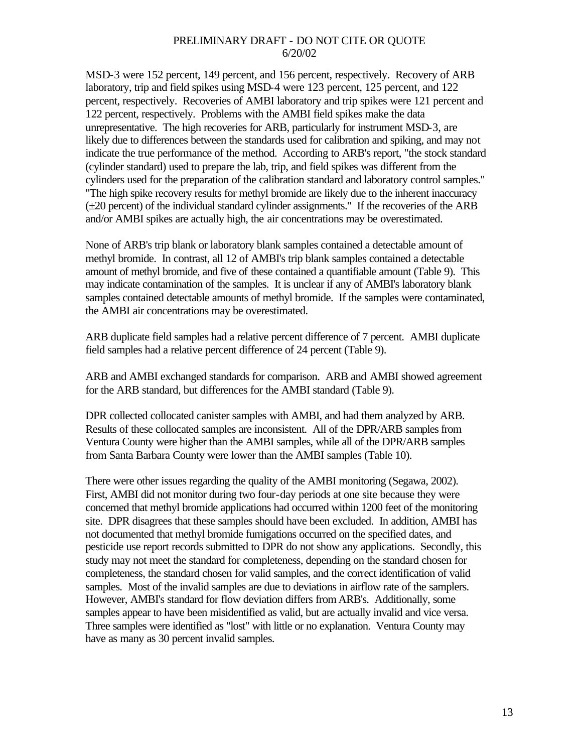MSD-3 were 152 percent, 149 percent, and 156 percent, respectively. Recovery of ARB laboratory, trip and field spikes using MSD-4 were 123 percent, 125 percent, and 122 percent, respectively. Recoveries of AMBI laboratory and trip spikes were 121 percent and 122 percent, respectively. Problems with the AMBI field spikes make the data unrepresentative. The high recoveries for ARB, particularly for instrument MSD-3, are likely due to differences between the standards used for calibration and spiking, and may not indicate the true performance of the method. According to ARB's report, "the stock standard (cylinder standard) used to prepare the lab, trip, and field spikes was different from the cylinders used for the preparation of the calibration standard and laboratory control samples." "The high spike recovery results for methyl bromide are likely due to the inherent inaccuracy  $(\pm 20$  percent) of the individual standard cylinder assignments." If the recoveries of the ARB and/or AMBI spikes are actually high, the air concentrations may be overestimated.

None of ARB's trip blank or laboratory blank samples contained a detectable amount of methyl bromide. In contrast, all 12 of AMBI's trip blank samples contained a detectable amount of methyl bromide, and five of these contained a quantifiable amount (Table 9). This may indicate contamination of the samples. It is unclear if any of AMBI's laboratory blank samples contained detectable amounts of methyl bromide. If the samples were contaminated, the AMBI air concentrations may be overestimated.

ARB duplicate field samples had a relative percent difference of 7 percent. AMBI duplicate field samples had a relative percent difference of 24 percent (Table 9).

ARB and AMBI exchanged standards for comparison. ARB and AMBI showed agreement for the ARB standard, but differences for the AMBI standard (Table 9).

DPR collected collocated canister samples with AMBI, and had them analyzed by ARB. Results of these collocated samples are inconsistent. All of the DPR/ARB samples from Ventura County were higher than the AMBI samples, while all of the DPR/ARB samples from Santa Barbara County were lower than the AMBI samples (Table 10).

There were other issues regarding the quality of the AMBI monitoring (Segawa, 2002). First, AMBI did not monitor during two four-day periods at one site because they were concerned that methyl bromide applications had occurred within 1200 feet of the monitoring site. DPR disagrees that these samples should have been excluded. In addition, AMBI has not documented that methyl bromide fumigations occurred on the specified dates, and pesticide use report records submitted to DPR do not show any applications. Secondly, this study may not meet the standard for completeness, depending on the standard chosen for completeness, the standard chosen for valid samples, and the correct identification of valid samples. Most of the invalid samples are due to deviations in airflow rate of the samplers. However, AMBI's standard for flow deviation differs from ARB's. Additionally, some samples appear to have been misidentified as valid, but are actually invalid and vice versa. Three samples were identified as "lost" with little or no explanation. Ventura County may have as many as 30 percent invalid samples.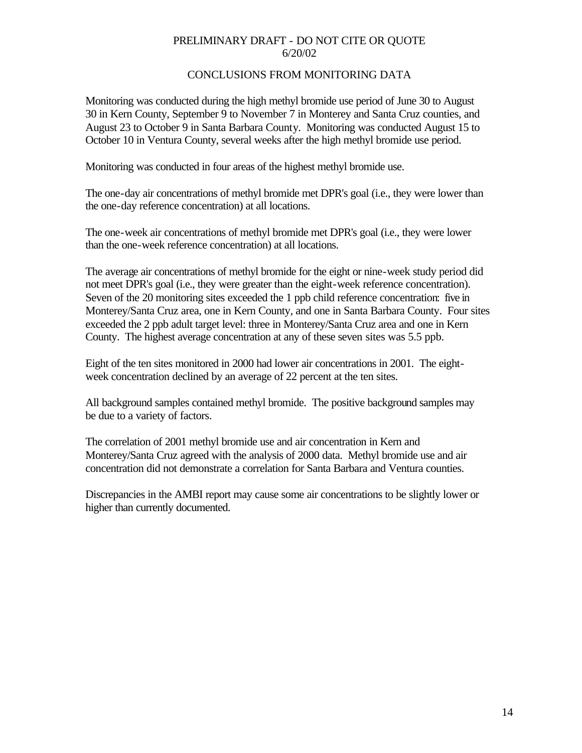## CONCLUSIONS FROM MONITORING DATA

Monitoring was conducted during the high methyl bromide use period of June 30 to August 30 in Kern County, September 9 to November 7 in Monterey and Santa Cruz counties, and August 23 to October 9 in Santa Barbara County. Monitoring was conducted August 15 to October 10 in Ventura County, several weeks after the high methyl bromide use period.

Monitoring was conducted in four areas of the highest methyl bromide use.

The one-day air concentrations of methyl bromide met DPR's goal (i.e., they were lower than the one-day reference concentration) at all locations.

The one-week air concentrations of methyl bromide met DPR's goal (i.e., they were lower than the one-week reference concentration) at all locations.

The average air concentrations of methyl bromide for the eight or nine-week study period did not meet DPR's goal (i.e., they were greater than the eight-week reference concentration). Seven of the 20 monitoring sites exceeded the 1 ppb child reference concentration: five in Monterey/Santa Cruz area, one in Kern County, and one in Santa Barbara County. Four sites exceeded the 2 ppb adult target level: three in Monterey/Santa Cruz area and one in Kern County. The highest average concentration at any of these seven sites was 5.5 ppb.

Eight of the ten sites monitored in 2000 had lower air concentrations in 2001. The eightweek concentration declined by an average of 22 percent at the ten sites.

All background samples contained methyl bromide. The positive background samples may be due to a variety of factors.

The correlation of 2001 methyl bromide use and air concentration in Kern and Monterey/Santa Cruz agreed with the analysis of 2000 data. Methyl bromide use and air concentration did not demonstrate a correlation for Santa Barbara and Ventura counties.

Discrepancies in the AMBI report may cause some air concentrations to be slightly lower or higher than currently documented.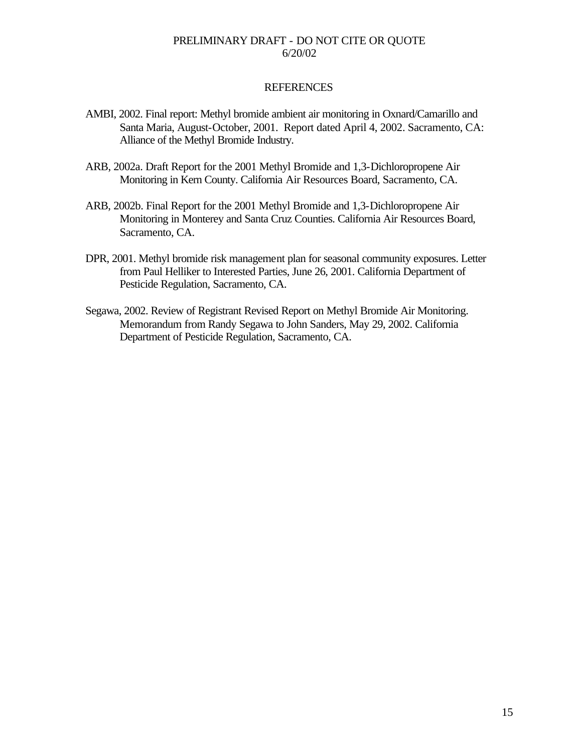#### REFERENCES

- AMBI, 2002. Final report: Methyl bromide ambient air monitoring in Oxnard/Camarillo and Santa Maria, August-October, 2001. Report dated April 4, 2002. Sacramento, CA: Alliance of the Methyl Bromide Industry.
- ARB, 2002a. Draft Report for the 2001 Methyl Bromide and 1,3-Dichloropropene Air Monitoring in Kern County. California Air Resources Board, Sacramento, CA.
- ARB, 2002b. Final Report for the 2001 Methyl Bromide and 1,3-Dichloropropene Air Monitoring in Monterey and Santa Cruz Counties. California Air Resources Board, Sacramento, CA.
- DPR, 2001. Methyl bromide risk management plan for seasonal community exposures. Letter from Paul Helliker to Interested Parties, June 26, 2001. California Department of Pesticide Regulation, Sacramento, CA.
- Segawa, 2002. Review of Registrant Revised Report on Methyl Bromide Air Monitoring. Memorandum from Randy Segawa to John Sanders, May 29, 2002. California Department of Pesticide Regulation, Sacramento, CA.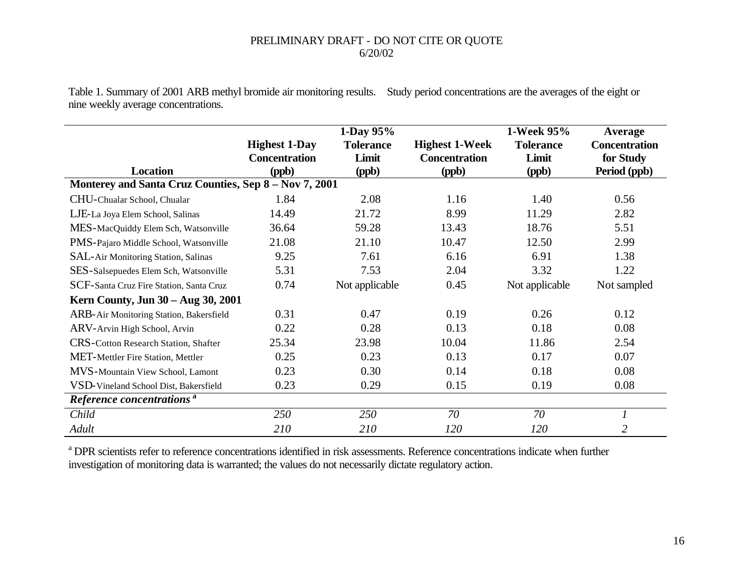Table 1. Summary of 2001 ARB methyl bromide air monitoring results. Study period concentrations are the averages of the eight or nine weekly average concentrations.

|                                                       |                      | 1-Day 95%        |                       | 1-Week 95%       | Average              |  |  |
|-------------------------------------------------------|----------------------|------------------|-----------------------|------------------|----------------------|--|--|
|                                                       | <b>Highest 1-Day</b> | <b>Tolerance</b> | <b>Highest 1-Week</b> | <b>Tolerance</b> | <b>Concentration</b> |  |  |
|                                                       | <b>Concentration</b> | Limit            | <b>Concentration</b>  | Limit            | for Study            |  |  |
| <b>Location</b>                                       | (ppb)                | (ppb)            | (ppb)                 | (ppb)            | Period (ppb)         |  |  |
| Monterey and Santa Cruz Counties, Sep 8 - Nov 7, 2001 |                      |                  |                       |                  |                      |  |  |
| CHU-Chualar School, Chualar                           | 1.84                 | 2.08             | 1.16                  | 1.40             | 0.56                 |  |  |
| LJE-La Joya Elem School, Salinas                      | 14.49                | 21.72            | 8.99                  | 11.29            | 2.82                 |  |  |
| MES-MacQuiddy Elem Sch, Watsonville                   | 36.64                | 59.28            | 13.43                 | 18.76            | 5.51                 |  |  |
| PMS-Pajaro Middle School, Watsonville                 | 21.08                | 21.10            | 10.47                 | 12.50            | 2.99                 |  |  |
| SAL-Air Monitoring Station, Salinas                   | 9.25                 | 7.61             | 6.16                  | 6.91             | 1.38                 |  |  |
| SES-Salsepuedes Elem Sch, Watsonville                 | 5.31                 | 7.53             | 2.04                  | 3.32             | 1.22                 |  |  |
| SCF-Santa Cruz Fire Station, Santa Cruz               | 0.74                 | Not applicable   | 0.45                  | Not applicable   | Not sampled          |  |  |
| Kern County, Jun 30 – Aug 30, 2001                    |                      |                  |                       |                  |                      |  |  |
| ARB-Air Monitoring Station, Bakersfield               | 0.31                 | 0.47             | 0.19                  | 0.26             | 0.12                 |  |  |
| ARV-Arvin High School, Arvin                          | 0.22                 | 0.28             | 0.13                  | 0.18             | 0.08                 |  |  |
| <b>CRS-Cotton Research Station, Shafter</b>           | 25.34                | 23.98            | 10.04                 | 11.86            | 2.54                 |  |  |
| <b>MET-Mettler Fire Station, Mettler</b>              | 0.25                 | 0.23             | 0.13                  | 0.17             | 0.07                 |  |  |
| MVS-Mountain View School, Lamont                      | 0.23                 | 0.30             | 0.14                  | 0.18             | 0.08                 |  |  |
| VSD-Vineland School Dist, Bakersfield                 | 0.23                 | 0.29             | 0.15                  | 0.19             | 0.08                 |  |  |
| Reference concentrations <sup>a</sup>                 |                      |                  |                       |                  |                      |  |  |
| Child                                                 | 250                  | <i>250</i>       | 70                    | 70               |                      |  |  |
| Adult                                                 | 210                  | 210              | 120                   | 120              | 2                    |  |  |

<sup>a</sup> DPR scientists refer to reference concentrations identified in risk assessments. Reference concentrations indicate when further investigation of monitoring data is warranted; the values do not necessarily dictate regulatory action.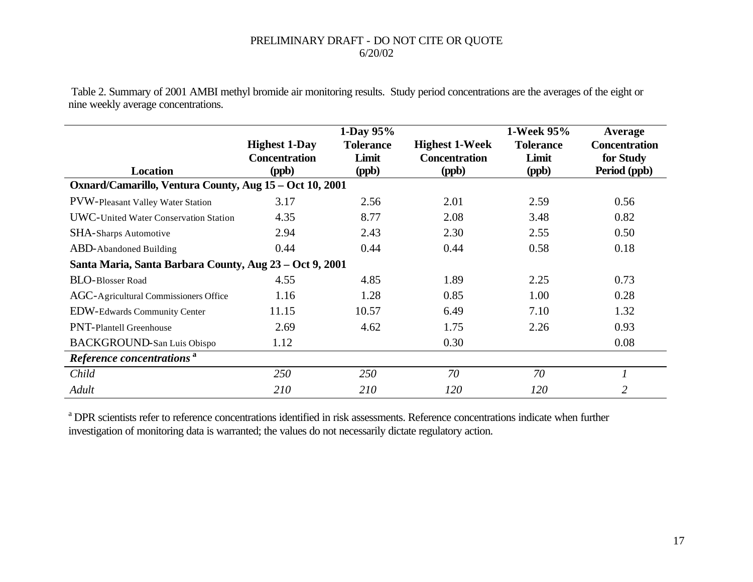Table 2. Summary of 2001 AMBI methyl bromide air monitoring results. Study period concentrations are the averages of the eight or nine weekly average concentrations.

|                                                         |                                                       | 1-Day $95%$                        |                                                        | 1-Week 95%                         | Average                                           |
|---------------------------------------------------------|-------------------------------------------------------|------------------------------------|--------------------------------------------------------|------------------------------------|---------------------------------------------------|
| <b>Location</b>                                         | <b>Highest 1-Day</b><br><b>Concentration</b><br>(ppb) | <b>Tolerance</b><br>Limit<br>(ppb) | <b>Highest 1-Week</b><br><b>Concentration</b><br>(ppb) | <b>Tolerance</b><br>Limit<br>(ppb) | <b>Concentration</b><br>for Study<br>Period (ppb) |
| Oxnard/Camarillo, Ventura County, Aug 15 – Oct 10, 2001 |                                                       |                                    |                                                        |                                    |                                                   |
| <b>PVW-Pleasant Valley Water Station</b>                | 3.17                                                  | 2.56                               | 2.01                                                   | 2.59                               | 0.56                                              |
| <b>UWC-United Water Conservation Station</b>            | 4.35                                                  | 8.77                               | 2.08                                                   | 3.48                               | 0.82                                              |
| <b>SHA-Sharps Automotive</b>                            | 2.94                                                  | 2.43                               | 2.30                                                   | 2.55                               | 0.50                                              |
| <b>ABD-Abandoned Building</b>                           | 0.44                                                  | 0.44                               | 0.44                                                   | 0.58                               | 0.18                                              |
| Santa Maria, Santa Barbara County, Aug 23 – Oct 9, 2001 |                                                       |                                    |                                                        |                                    |                                                   |
| <b>BLO-Blosser Road</b>                                 | 4.55                                                  | 4.85                               | 1.89                                                   | 2.25                               | 0.73                                              |
| AGC-Agricultural Commissioners Office                   | 1.16                                                  | 1.28                               | 0.85                                                   | 1.00                               | 0.28                                              |
| <b>EDW-Edwards Community Center</b>                     | 11.15                                                 | 10.57                              | 6.49                                                   | 7.10                               | 1.32                                              |
| <b>PNT-Plantell Greenhouse</b>                          | 2.69                                                  | 4.62                               | 1.75                                                   | 2.26                               | 0.93                                              |
| <b>BACKGROUND-San Luis Obispo</b>                       | 1.12                                                  |                                    | 0.30                                                   |                                    | 0.08                                              |
| Reference concentrations <sup>a</sup>                   |                                                       |                                    |                                                        |                                    |                                                   |
| Child                                                   | <i>250</i>                                            | <i>250</i>                         | 70                                                     | 70                                 |                                                   |
| Adult                                                   | <i>210</i>                                            | <i>210</i>                         | <i>120</i>                                             | <i>120</i>                         | 2                                                 |

<sup>a</sup> DPR scientists refer to reference concentrations identified in risk assessments. Reference concentrations indicate when further investigation of monitoring data is warranted; the values do not necessarily dictate regulatory action.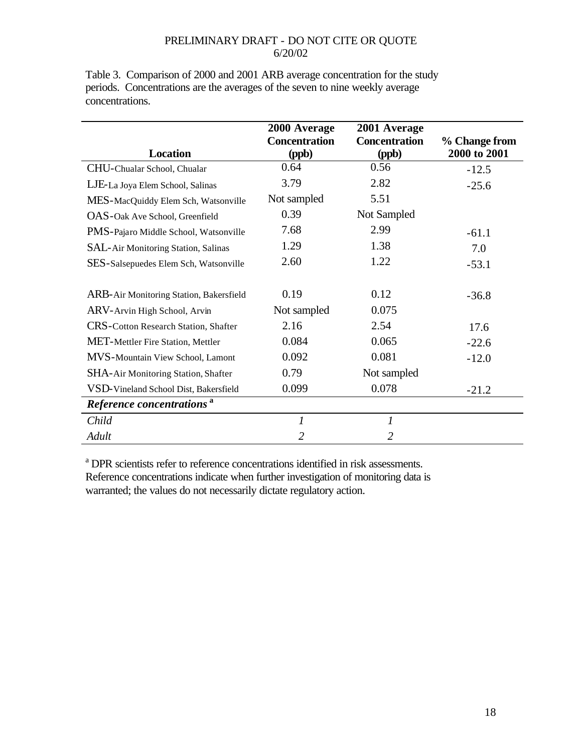Table 3. Comparison of 2000 and 2001 ARB average concentration for the study periods. Concentrations are the averages of the seven to nine weekly average concentrations.

|                                          | 2000 Average                  | 2001 Average                  |                               |
|------------------------------------------|-------------------------------|-------------------------------|-------------------------------|
| <b>Location</b>                          | <b>Concentration</b><br>(ppb) | <b>Concentration</b><br>(ppb) | % Change from<br>2000 to 2001 |
| CHU-Chualar School, Chualar              | 0.64                          | 0.56                          | $-12.5$                       |
| LJE-La Joya Elem School, Salinas         | 3.79                          | 2.82                          | $-25.6$                       |
| MES-MacQuiddy Elem Sch, Watsonville      | Not sampled                   | 5.51                          |                               |
| OAS-Oak Ave School, Greenfield           | 0.39                          | Not Sampled                   |                               |
| PMS-Pajaro Middle School, Watsonville    | 7.68                          | 2.99                          | $-61.1$                       |
| SAL-Air Monitoring Station, Salinas      | 1.29                          | 1.38                          | 7.0                           |
| SES-Salsepuedes Elem Sch, Watsonville    | 2.60                          | 1.22                          | $-53.1$                       |
|                                          |                               |                               |                               |
| ARB-Air Monitoring Station, Bakersfield  | 0.19                          | 0.12                          | $-36.8$                       |
| ARV-Arvin High School, Arvin             | Not sampled                   | 0.075                         |                               |
| CRS-Cotton Research Station, Shafter     | 2.16                          | 2.54                          | 17.6                          |
| <b>MET-Mettler Fire Station, Mettler</b> | 0.084                         | 0.065                         | $-22.6$                       |
| MVS-Mountain View School, Lamont         | 0.092                         | 0.081                         | $-12.0$                       |
| SHA-Air Monitoring Station, Shafter      | 0.79                          | Not sampled                   |                               |
| VSD-Vineland School Dist, Bakersfield    | 0.099                         | 0.078                         | $-21.2$                       |
| Reference concentrations <sup>a</sup>    |                               |                               |                               |
| Child                                    | $\mathfrak{I}$                | 1                             |                               |
| Adult                                    | $\overline{2}$                | $\overline{2}$                |                               |

<sup>a</sup> DPR scientists refer to reference concentrations identified in risk assessments. Reference concentrations indicate when further investigation of monitoring data is warranted; the values do not necessarily dictate regulatory action.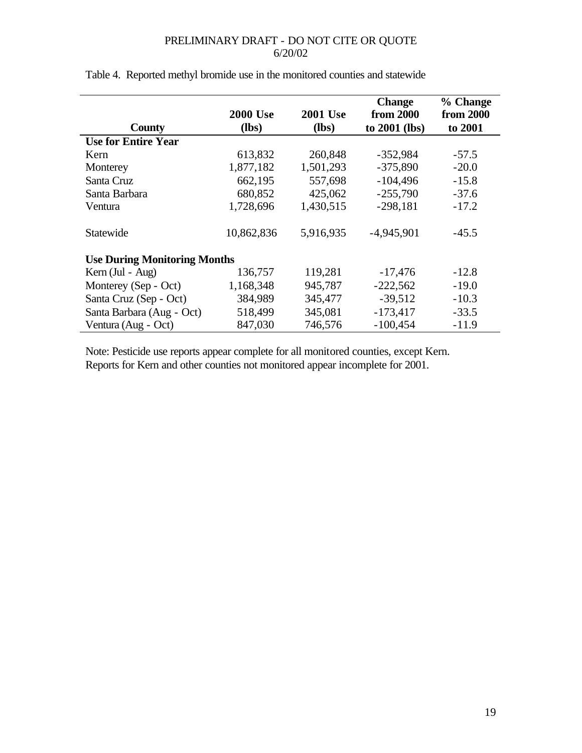|                                     | <b>2000 Use</b><br>$(lbs)$ | <b>2001 Use</b><br>$(lbs)$ | <b>Change</b><br>from 2000 | % Change<br>from 2000 |
|-------------------------------------|----------------------------|----------------------------|----------------------------|-----------------------|
| County                              |                            |                            | to 2001 (lbs)              | to 2001               |
| <b>Use for Entire Year</b>          |                            |                            |                            |                       |
| Kern                                | 613,832                    | 260,848                    | $-352,984$                 | $-57.5$               |
| Monterey                            | 1,877,182                  | 1,501,293                  | $-375,890$                 | $-20.0$               |
| Santa Cruz                          | 662,195                    | 557,698                    | $-104,496$                 | $-15.8$               |
| Santa Barbara                       | 680,852                    | 425,062                    | $-255,790$                 | $-37.6$               |
| Ventura                             | 1,728,696                  | 1,430,515                  | $-298,181$                 | $-17.2$               |
| Statewide                           | 10,862,836                 | 5,916,935                  | $-4,945,901$               | $-45.5$               |
| <b>Use During Monitoring Months</b> |                            |                            |                            |                       |
| Kern (Jul - Aug)                    | 136,757                    | 119,281                    | $-17,476$                  | $-12.8$               |
| Monterey (Sep - Oct)                | 1,168,348                  | 945,787                    | $-222,562$                 | $-19.0$               |
| Santa Cruz (Sep - Oct)              | 384,989                    | 345,477                    | $-39,512$                  | $-10.3$               |
| Santa Barbara (Aug - Oct)           | 518,499                    | 345,081                    | $-173,417$                 | $-33.5$               |
| Ventura (Aug - Oct)                 | 847,030                    | 746,576                    | $-100,454$                 | $-11.9$               |

## Table 4. Reported methyl bromide use in the monitored counties and statewide

Note: Pesticide use reports appear complete for all monitored counties, except Kern. Reports for Kern and other counties not monitored appear incomplete for 2001.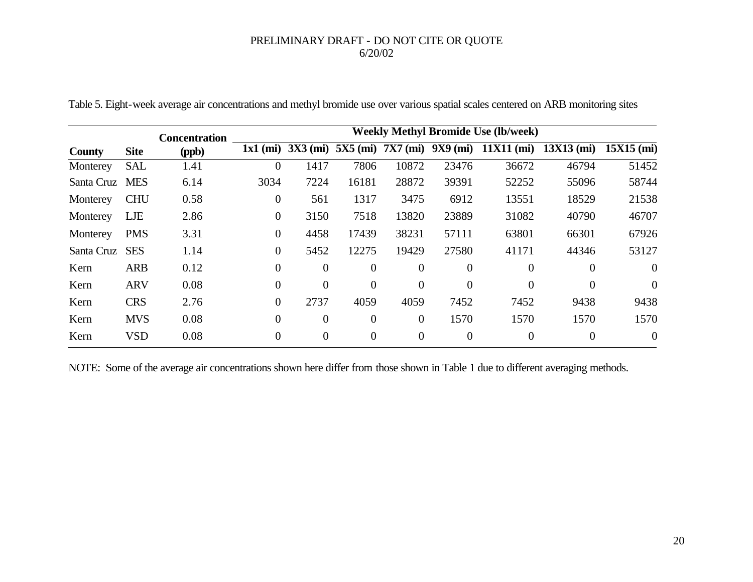|               |             | <b>Concentration</b> | <b>Weekly Methyl Bromide Use (lb/week)</b> |                  |                  |                  |                |                                               |                |                |
|---------------|-------------|----------------------|--------------------------------------------|------------------|------------------|------------------|----------------|-----------------------------------------------|----------------|----------------|
| <b>County</b> | <b>Site</b> | (ppb)                | $1x1$ (mi)                                 | $3X3$ (mi)       |                  |                  |                | $5X5$ (mi) $7X7$ (mi) $9X9$ (mi) $11X11$ (mi) | $13X13$ (mi)   | $15X15$ (mi)   |
| Monterey      | <b>SAL</b>  | 1.41                 | $\theta$                                   | 1417             | 7806             | 10872            | 23476          | 36672                                         | 46794          | 51452          |
| Santa Cruz    | <b>MES</b>  | 6.14                 | 3034                                       | 7224             | 16181            | 28872            | 39391          | 52252                                         | 55096          | 58744          |
| Monterey      | <b>CHU</b>  | 0.58                 | $\boldsymbol{0}$                           | 561              | 1317             | 3475             | 6912           | 13551                                         | 18529          | 21538          |
| Monterey      | LJE         | 2.86                 | $\boldsymbol{0}$                           | 3150             | 7518             | 13820            | 23889          | 31082                                         | 40790          | 46707          |
| Monterey      | <b>PMS</b>  | 3.31                 | $\overline{0}$                             | 4458             | 17439            | 38231            | 57111          | 63801                                         | 66301          | 67926          |
| Santa Cruz    | <b>SES</b>  | 1.14                 | $\overline{0}$                             | 5452             | 12275            | 19429            | 27580          | 41171                                         | 44346          | 53127          |
| Kern          | <b>ARB</b>  | 0.12                 | $\overline{0}$                             | $\overline{0}$   | $\overline{0}$   | $\theta$         | $\overline{0}$ | $\overline{0}$                                | $\overline{0}$ | $\overline{0}$ |
| Kern          | <b>ARV</b>  | 0.08                 | $\overline{0}$                             | $\overline{0}$   | $\overline{0}$   | $\overline{0}$   | $\Omega$       | $\overline{0}$                                | $\theta$       | $\overline{0}$ |
| Kern          | <b>CRS</b>  | 2.76                 | $\overline{0}$                             | 2737             | 4059             | 4059             | 7452           | 7452                                          | 9438           | 9438           |
| Kern          | <b>MVS</b>  | 0.08                 | $\overline{0}$                             | $\theta$         | $\theta$         | $\theta$         | 1570           | 1570                                          | 1570           | 1570           |
| Kern          | <b>VSD</b>  | 0.08                 | $\overline{0}$                             | $\boldsymbol{0}$ | $\boldsymbol{0}$ | $\boldsymbol{0}$ | $\overline{0}$ | $\overline{0}$                                | $\overline{0}$ | $\overline{0}$ |

Table 5. Eight-week average air concentrations and methyl bromide use over various spatial scales centered on ARB monitoring sites

NOTE: Some of the average air concentrations shown here differ from those shown in Table 1 due to different averaging methods.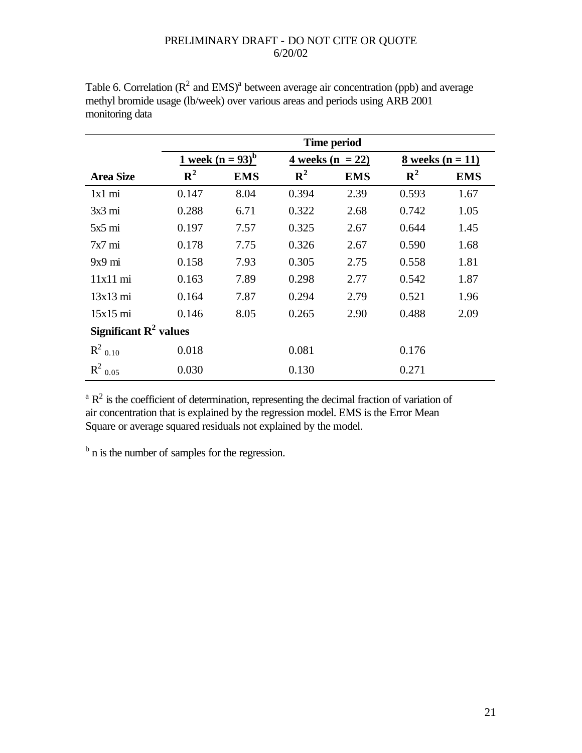|                                   | <b>Time period</b> |                                         |                    |            |                    |            |  |
|-----------------------------------|--------------------|-----------------------------------------|--------------------|------------|--------------------|------------|--|
|                                   |                    | <u>1 week</u> ( $n = 93$ ) <sup>b</sup> | 4 weeks $(n = 22)$ |            | 8 weeks $(n = 11)$ |            |  |
| <b>Area Size</b>                  | ${\bf R}^2$        | <b>EMS</b>                              | ${\bf R}^2$        | <b>EMS</b> | ${\bf R}^2$        | <b>EMS</b> |  |
| $1x1$ mi                          | 0.147              | 8.04                                    | 0.394              | 2.39       | 0.593              | 1.67       |  |
| $3x3 \text{ mi}$                  | 0.288              | 6.71                                    | 0.322              | 2.68       | 0.742              | 1.05       |  |
| $5x5 \text{ mi}$                  | 0.197              | 7.57                                    | 0.325              | 2.67       | 0.644              | 1.45       |  |
| $7x7 \text{ mi}$                  | 0.178              | 7.75                                    | 0.326              | 2.67       | 0.590              | 1.68       |  |
| $9x9 \text{ mi}$                  | 0.158              | 7.93                                    | 0.305              | 2.75       | 0.558              | 1.81       |  |
| 11x11 mi                          | 0.163              | 7.89                                    | 0.298              | 2.77       | 0.542              | 1.87       |  |
| $13x13$ mi                        | 0.164              | 7.87                                    | 0.294              | 2.79       | 0.521              | 1.96       |  |
| $15x15$ mi                        | 0.146              | 8.05                                    | 0.265              | 2.90       | 0.488              | 2.09       |  |
| Significant $\mathbb{R}^2$ values |                    |                                         |                    |            |                    |            |  |
| $R^2$ <sub>0.10</sub>             | 0.018              |                                         | 0.081              |            | 0.176              |            |  |
| $R^2$ 0.05                        | 0.030              |                                         | 0.130              |            | 0.271              |            |  |

Table 6. Correlation ( $\mathbb{R}^2$  and EMS)<sup>a</sup> between average air concentration (ppb) and average methyl bromide usage (lb/week) over various areas and periods using ARB 2001 monitoring data

 ${}^{a}R^{2}$  is the coefficient of determination, representing the decimal fraction of variation of air concentration that is explained by the regression model. EMS is the Error Mean Square or average squared residuals not explained by the model.

<sup>b</sup> n is the number of samples for the regression.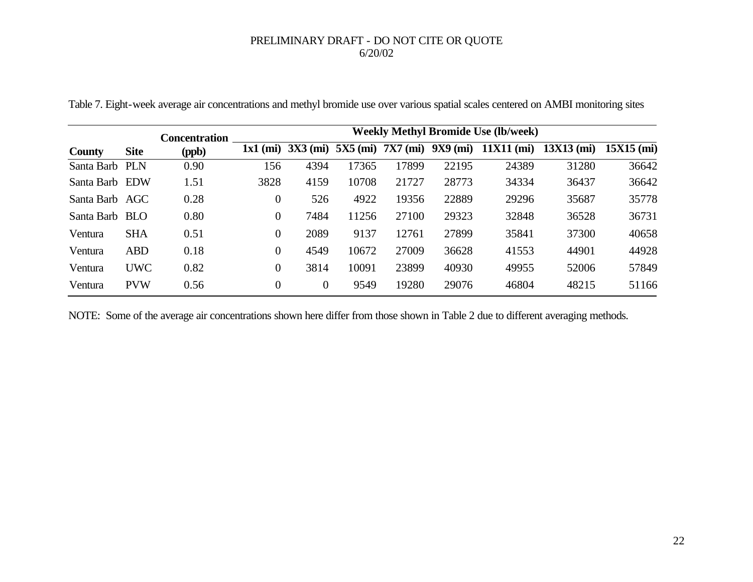|                |             | <b>Concentration</b> | <b>Weekly Methyl Bromide Use (lb/week)</b> |            |            |                 |            |              |              |              |
|----------------|-------------|----------------------|--------------------------------------------|------------|------------|-----------------|------------|--------------|--------------|--------------|
| <b>County</b>  | <b>Site</b> | (ppb)                | $1x1$ (mi)                                 | $3X3$ (mi) | $5X5$ (mi) | <b>7X7 (mi)</b> | $9X9$ (mi) | $11X11$ (mi) | $13X13$ (mi) | $15X15$ (mi) |
| Santa Barb     | <b>PLN</b>  | 0.90                 | 156                                        | 4394       | 17365      | 17899           | 22195      | 24389        | 31280        | 36642        |
| Santa Barb EDW |             | 1.51                 | 3828                                       | 4159       | 10708      | 21727           | 28773      | 34334        | 36437        | 36642        |
| Santa Barb AGC |             | 0.28                 | $\boldsymbol{0}$                           | 526        | 4922       | 19356           | 22889      | 29296        | 35687        | 35778        |
| Santa Barb     | <b>BLO</b>  | 0.80                 | $\overline{0}$                             | 7484       | 11256      | 27100           | 29323      | 32848        | 36528        | 36731        |
| Ventura        | <b>SHA</b>  | 0.51                 | $\overline{0}$                             | 2089       | 9137       | 12761           | 27899      | 35841        | 37300        | 40658        |
| Ventura        | <b>ABD</b>  | 0.18                 | $\mathbf{0}$                               | 4549       | 10672      | 27009           | 36628      | 41553        | 44901        | 44928        |
| Ventura        | <b>UWC</b>  | 0.82                 | $\overline{0}$                             | 3814       | 10091      | 23899           | 40930      | 49955        | 52006        | 57849        |
| Ventura        | <b>PVW</b>  | 0.56                 | $\overline{0}$                             | $\theta$   | 9549       | 19280           | 29076      | 46804        | 48215        | 51166        |

Table 7. Eight-week average air concentrations and methyl bromide use over various spatial scales centered on AMBI monitoring sites

NOTE: Some of the average air concentrations shown here differ from those shown in Table 2 due to different averaging methods.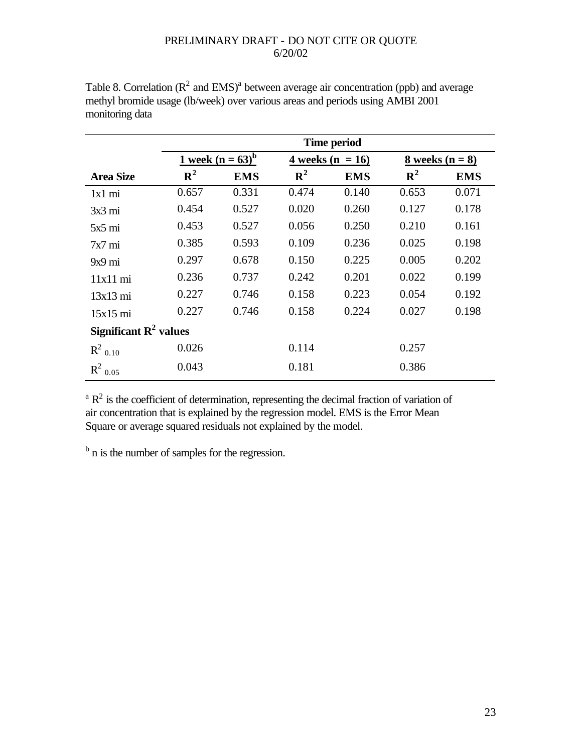|                                   | <b>Time period</b>                     |            |             |                    |                   |            |  |
|-----------------------------------|----------------------------------------|------------|-------------|--------------------|-------------------|------------|--|
|                                   | <u>1 week (n</u> = $63$ ) <sup>b</sup> |            |             | 4 weeks $(n = 16)$ | 8 weeks $(n = 8)$ |            |  |
| <b>Area Size</b>                  | ${\bf R}^2$                            | <b>EMS</b> | ${\bf R}^2$ | <b>EMS</b>         | ${\bf R}^2$       | <b>EMS</b> |  |
| 1x1 mi                            | 0.657                                  | 0.331      | 0.474       | 0.140              | 0.653             | 0.071      |  |
| $3x3 \text{ mi}$                  | 0.454                                  | 0.527      | 0.020       | 0.260              | 0.127             | 0.178      |  |
| $5x5 \text{ mi}$                  | 0.453                                  | 0.527      | 0.056       | 0.250              | 0.210             | 0.161      |  |
| $7x7 \text{ mi}$                  | 0.385                                  | 0.593      | 0.109       | 0.236              | 0.025             | 0.198      |  |
| $9x9 \text{ mi}$                  | 0.297                                  | 0.678      | 0.150       | 0.225              | 0.005             | 0.202      |  |
| 11x11 mi                          | 0.236                                  | 0.737      | 0.242       | 0.201              | 0.022             | 0.199      |  |
| $13x13$ mi                        | 0.227                                  | 0.746      | 0.158       | 0.223              | 0.054             | 0.192      |  |
| $15x15$ mi                        | 0.227                                  | 0.746      | 0.158       | 0.224              | 0.027             | 0.198      |  |
| Significant $\mathbb{R}^2$ values |                                        |            |             |                    |                   |            |  |
| $R^2$ <sub>0.10</sub>             | 0.026                                  |            | 0.114       |                    | 0.257             |            |  |
| $R^2$ 0.05                        | 0.043                                  |            | 0.181       |                    | 0.386             |            |  |

Table 8. Correlation ( $\mathbb{R}^2$  and EMS)<sup>a</sup> between average air concentration (ppb) and average methyl bromide usage (lb/week) over various areas and periods using AMBI 2001 monitoring data

 ${}^{\text{a}}$  R<sup>2</sup> is the coefficient of determination, representing the decimal fraction of variation of air concentration that is explained by the regression model. EMS is the Error Mean Square or average squared residuals not explained by the model.

<sup>b</sup> n is the number of samples for the regression.